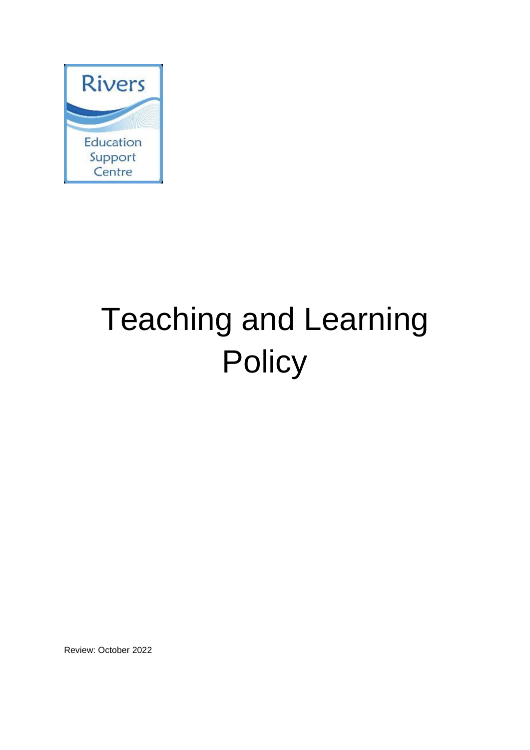

# Teaching and Learning **Policy**

Review: October 2022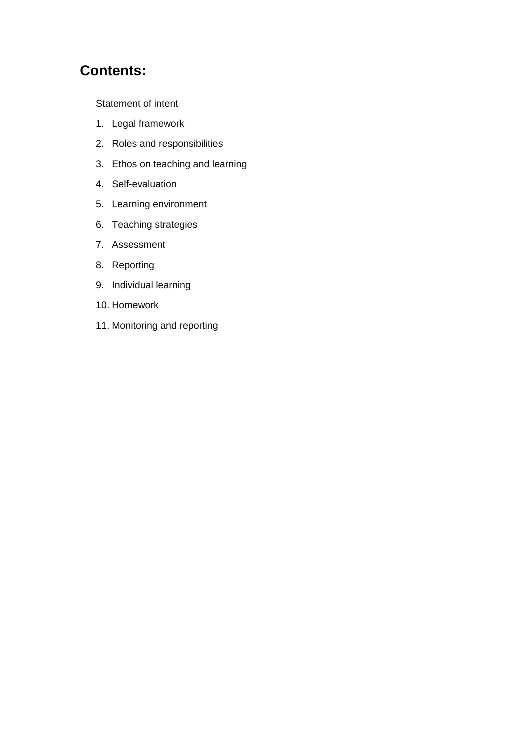# **Contents:**

[Statement of intent](#page-2-0)

- 1. [Legal framework](#page-3-0)
- 2. [Roles and responsibilities](#page-3-1)
- 3. [Ethos on teaching and learning](#page-5-0)
- 4. [Self-evaluation](#page-6-0)
- 5. [Learning environment](#page-7-0)
- 6. [Teaching strategies](#page-7-1)
- 7. [Assessment](#page-9-0)
- 8. [Reporting](#page-11-0)
- 9. [Individual learning](#page-11-1)
- 10. [Homework](#page-11-2)
- 11. [Monitoring and reporting](#page-12-0)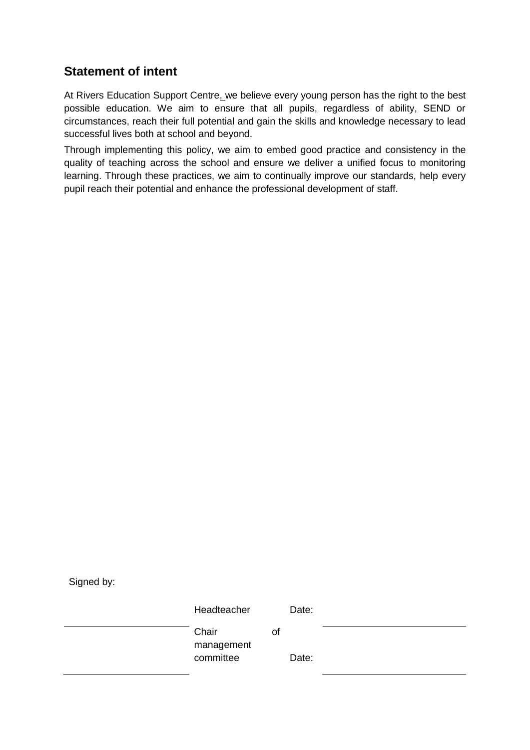# <span id="page-2-0"></span>**Statement of intent**

At Rivers Education Support Centre, we believe every young person has the right to the best possible education. We aim to ensure that all pupils, regardless of ability, SEND or circumstances, reach their full potential and gain the skills and knowledge necessary to lead successful lives both at school and beyond.

Through implementing this policy, we aim to embed good practice and consistency in the quality of teaching across the school and ensure we deliver a unified focus to monitoring learning. Through these practices, we aim to continually improve our standards, help every pupil reach their potential and enhance the professional development of staff.

Signed by:

Headteacher Date: Chair of management committee Date: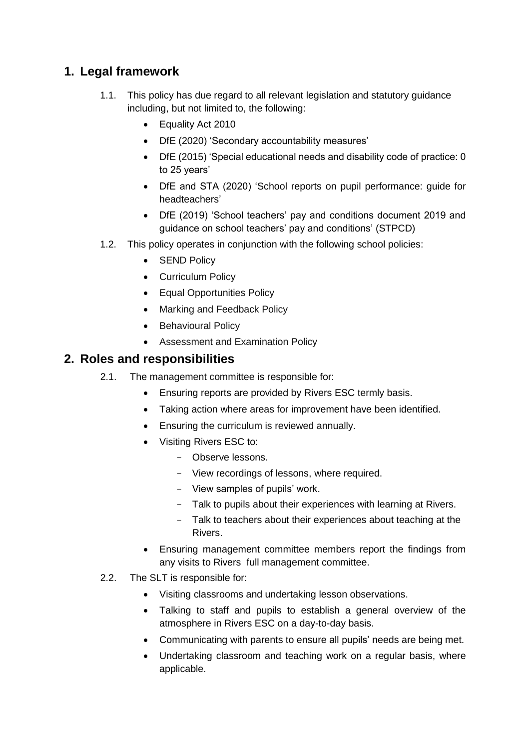# <span id="page-3-0"></span>**1. Legal framework**

- 1.1. This policy has due regard to all relevant legislation and statutory guidance including, but not limited to, the following:
	- Equality Act 2010
	- DfE (2020) 'Secondary accountability measures'
	- DfE (2015) 'Special educational needs and disability code of practice: 0 to 25 years'
	- DfE and STA (2020) 'School reports on pupil performance: guide for headteachers'
	- DfE (2019) 'School teachers' pay and conditions document 2019 and guidance on school teachers' pay and conditions' (STPCD)
- 1.2. This policy operates in conjunction with the following school policies:
	- SEND Policy
	- Curriculum Policy
	- Equal Opportunities Policy
	- Marking and Feedback Policy
	- Behavioural Policy
	- Assessment and Examination Policy

## <span id="page-3-1"></span>**2. Roles and responsibilities**

- 2.1. The management committee is responsible for:
	- Ensuring reports are provided by Rivers ESC termly basis.
	- Taking action where areas for improvement have been identified.
	- **Ensuring the curriculum is reviewed annually.**
	- Visiting Rivers ESC to:
		- Observe lessons.
		- View recordings of lessons, where required.
		- View samples of pupils' work.
		- Talk to pupils about their experiences with learning at Rivers.
		- Talk to teachers about their experiences about teaching at the Rivers.
	- Ensuring management committee members report the findings from any visits to Rivers full management committee.
- 2.2. The SLT is responsible for:
	- Visiting classrooms and undertaking lesson observations.
	- Talking to staff and pupils to establish a general overview of the atmosphere in Rivers ESC on a day-to-day basis.
	- Communicating with parents to ensure all pupils' needs are being met.
	- Undertaking classroom and teaching work on a regular basis, where applicable.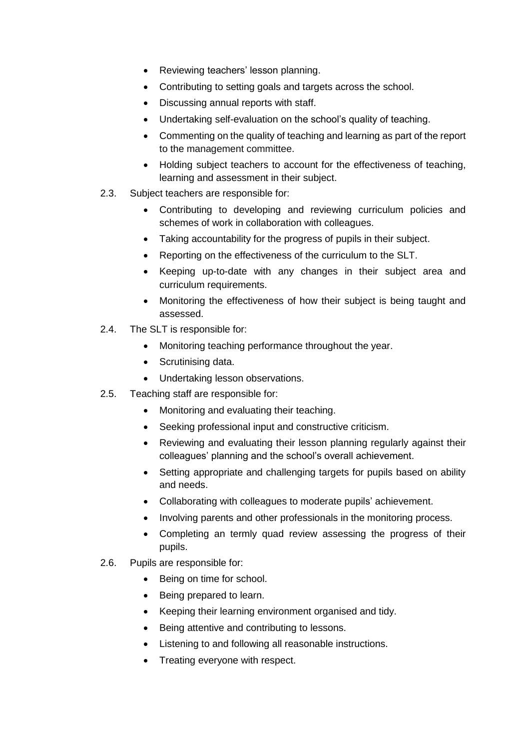- Reviewing teachers' lesson planning.
- Contributing to setting goals and targets across the school.
- Discussing annual reports with staff.
- Undertaking self-evaluation on the school's quality of teaching.
- Commenting on the quality of teaching and learning as part of the report to the management committee.
- Holding subject teachers to account for the effectiveness of teaching, learning and assessment in their subject.
- 2.3. Subject teachers are responsible for:
	- Contributing to developing and reviewing curriculum policies and schemes of work in collaboration with colleagues.
	- Taking accountability for the progress of pupils in their subject.
	- Reporting on the effectiveness of the curriculum to the SLT.
	- Keeping up-to-date with any changes in their subject area and curriculum requirements.
	- Monitoring the effectiveness of how their subject is being taught and assessed.
- 2.4. The SLT is responsible for:
	- Monitoring teaching performance throughout the year.
	- Scrutinising data.
	- Undertaking lesson observations.
- 2.5. Teaching staff are responsible for:
	- Monitoring and evaluating their teaching.
	- Seeking professional input and constructive criticism.
	- Reviewing and evaluating their lesson planning regularly against their colleagues' planning and the school's overall achievement.
	- Setting appropriate and challenging targets for pupils based on ability and needs.
	- Collaborating with colleagues to moderate pupils' achievement.
	- Involving parents and other professionals in the monitoring process.
	- Completing an termly quad review assessing the progress of their pupils.
- 2.6. Pupils are responsible for:
	- Being on time for school.
	- Being prepared to learn.
	- Keeping their learning environment organised and tidy.
	- Being attentive and contributing to lessons.
	- Listening to and following all reasonable instructions.
	- Treating everyone with respect.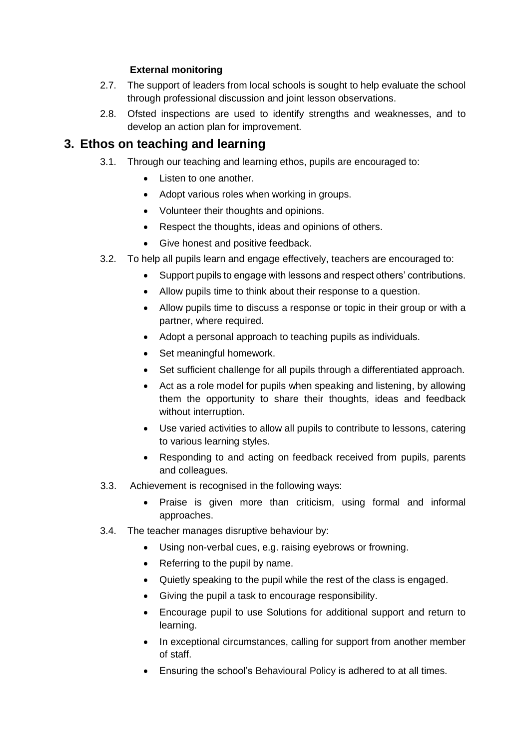## **External monitoring**

- 2.7. The support of leaders from local schools is sought to help evaluate the school through professional discussion and joint lesson observations.
- 2.8. Ofsted inspections are used to identify strengths and weaknesses, and to develop an action plan for improvement.

# <span id="page-5-0"></span>**3. Ethos on teaching and learning**

- 3.1. Through our teaching and learning ethos, pupils are encouraged to:
	- Listen to one another.
	- Adopt various roles when working in groups.
	- Volunteer their thoughts and opinions.
	- Respect the thoughts, ideas and opinions of others.
	- Give honest and positive feedback.
- 3.2. To help all pupils learn and engage effectively, teachers are encouraged to:
	- Support pupils to engage with lessons and respect others' contributions.
		- Allow pupils time to think about their response to a question.
	- Allow pupils time to discuss a response or topic in their group or with a partner, where required.
	- Adopt a personal approach to teaching pupils as individuals.
	- Set meaningful homework.
	- Set sufficient challenge for all pupils through a differentiated approach.
	- Act as a role model for pupils when speaking and listening, by allowing them the opportunity to share their thoughts, ideas and feedback without interruption.
	- Use varied activities to allow all pupils to contribute to lessons, catering to various learning styles.
	- Responding to and acting on feedback received from pupils, parents and colleagues.
- 3.3. Achievement is recognised in the following ways:
	- Praise is given more than criticism, using formal and informal approaches.
- 3.4. The teacher manages disruptive behaviour by:
	- Using non-verbal cues, e.g. raising eyebrows or frowning.
	- Referring to the pupil by name.
	- Quietly speaking to the pupil while the rest of the class is engaged.
	- Giving the pupil a task to encourage responsibility.
	- Encourage pupil to use Solutions for additional support and return to learning.
	- In exceptional circumstances, calling for support from another member of staff.
	- Ensuring the school's Behavioural Policy is adhered to at all times.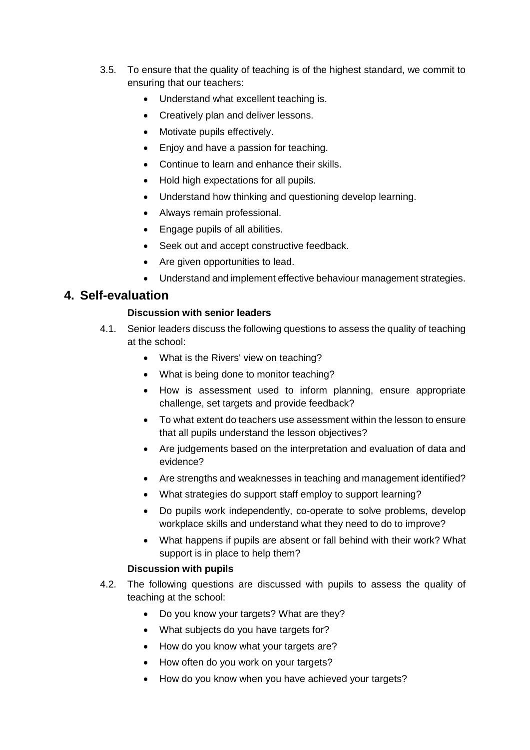- 3.5. To ensure that the quality of teaching is of the highest standard, we commit to ensuring that our teachers:
	- Understand what excellent teaching is.
	- Creatively plan and deliver lessons.
	- Motivate pupils effectively.
	- Enjoy and have a passion for teaching.
	- Continue to learn and enhance their skills.
	- Hold high expectations for all pupils.
	- Understand how thinking and questioning develop learning.
	- Always remain professional.
	- Engage pupils of all abilities.
	- Seek out and accept constructive feedback.
	- Are given opportunities to lead.
	- Understand and implement effective behaviour management strategies.

## <span id="page-6-0"></span>**4. Self-evaluation**

#### **Discussion with senior leaders**

- 4.1. Senior leaders discuss the following questions to assess the quality of teaching at the school:
	- What is the Rivers' view on teaching?
	- What is being done to monitor teaching?
	- How is assessment used to inform planning, ensure appropriate challenge, set targets and provide feedback?
	- To what extent do teachers use assessment within the lesson to ensure that all pupils understand the lesson objectives?
	- Are judgements based on the interpretation and evaluation of data and evidence?
	- Are strengths and weaknesses in teaching and management identified?
	- What strategies do support staff employ to support learning?
	- Do pupils work independently, co-operate to solve problems, develop workplace skills and understand what they need to do to improve?
	- What happens if pupils are absent or fall behind with their work? What support is in place to help them?

#### **Discussion with pupils**

- 4.2. The following questions are discussed with pupils to assess the quality of teaching at the school:
	- Do you know your targets? What are they?
	- What subjects do you have targets for?
	- How do you know what your targets are?
	- How often do you work on your targets?
	- How do you know when you have achieved your targets?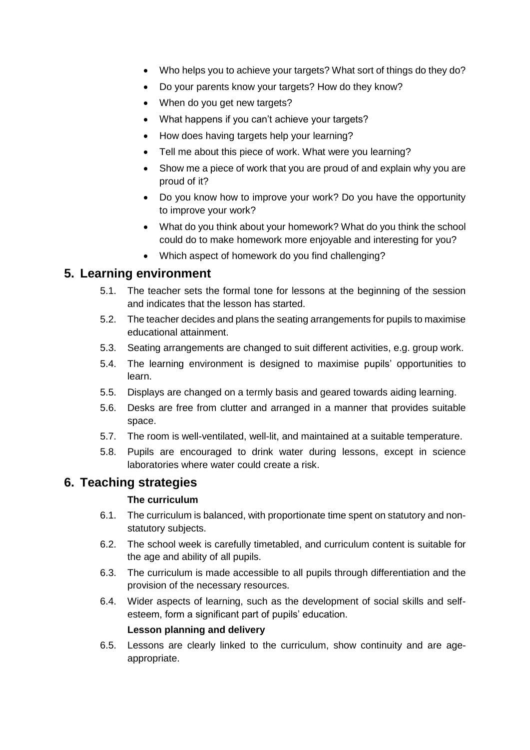- Who helps you to achieve your targets? What sort of things do they do?
- Do your parents know your targets? How do they know?
- When do you get new targets?
- What happens if you can't achieve your targets?
- How does having targets help your learning?
- Tell me about this piece of work. What were you learning?
- Show me a piece of work that you are proud of and explain why you are proud of it?
- Do you know how to improve your work? Do you have the opportunity to improve your work?
- What do you think about your homework? What do you think the school could do to make homework more enjoyable and interesting for you?
- Which aspect of homework do you find challenging?

# <span id="page-7-0"></span>**5. Learning environment**

- 5.1. The teacher sets the formal tone for lessons at the beginning of the session and indicates that the lesson has started.
- 5.2. The teacher decides and plans the seating arrangements for pupils to maximise educational attainment.
- 5.3. Seating arrangements are changed to suit different activities, e.g. group work.
- 5.4. The learning environment is designed to maximise pupils' opportunities to learn.
- 5.5. Displays are changed on a termly basis and geared towards aiding learning.
- 5.6. Desks are free from clutter and arranged in a manner that provides suitable space.
- 5.7. The room is well-ventilated, well-lit, and maintained at a suitable temperature.
- 5.8. Pupils are encouraged to drink water during lessons, except in science laboratories where water could create a risk.

# <span id="page-7-1"></span>**6. Teaching strategies**

## **The curriculum**

- 6.1. The curriculum is balanced, with proportionate time spent on statutory and nonstatutory subjects.
- 6.2. The school week is carefully timetabled, and curriculum content is suitable for the age and ability of all pupils.
- 6.3. The curriculum is made accessible to all pupils through differentiation and the provision of the necessary resources.
- 6.4. Wider aspects of learning, such as the development of social skills and selfesteem, form a significant part of pupils' education. **Lesson planning and delivery**
- 6.5. Lessons are clearly linked to the curriculum, show continuity and are ageappropriate.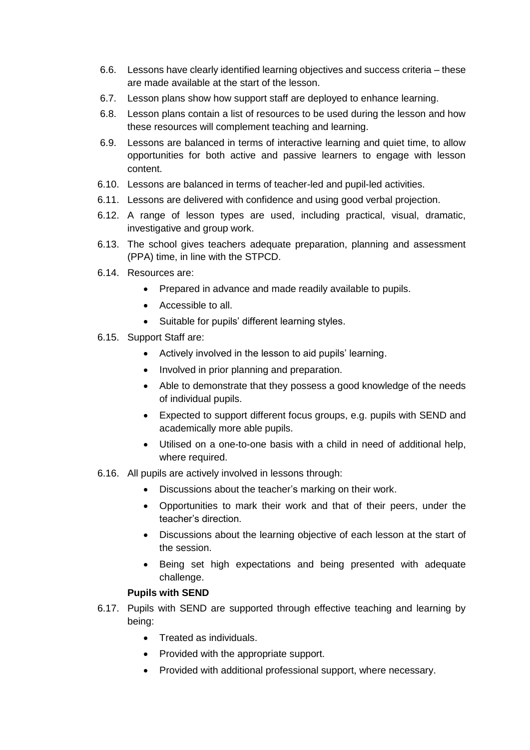- 6.6. Lessons have clearly identified learning objectives and success criteria these are made available at the start of the lesson.
- 6.7. Lesson plans show how support staff are deployed to enhance learning.
- 6.8. Lesson plans contain a list of resources to be used during the lesson and how these resources will complement teaching and learning.
- 6.9. Lessons are balanced in terms of interactive learning and quiet time, to allow opportunities for both active and passive learners to engage with lesson content.
- 6.10. Lessons are balanced in terms of teacher-led and pupil-led activities.
- 6.11. Lessons are delivered with confidence and using good verbal projection.
- 6.12. A range of lesson types are used, including practical, visual, dramatic, investigative and group work.
- 6.13. The school gives teachers adequate preparation, planning and assessment (PPA) time, in line with the STPCD.
- 6.14. Resources are:
	- Prepared in advance and made readily available to pupils.
	- Accessible to all.
	- Suitable for pupils' different learning styles.
- 6.15. Support Staff are:
	- Actively involved in the lesson to aid pupils' learning.
	- Involved in prior planning and preparation.
	- Able to demonstrate that they possess a good knowledge of the needs of individual pupils.
	- Expected to support different focus groups, e.g. pupils with SEND and academically more able pupils.
	- Utilised on a one-to-one basis with a child in need of additional help, where required.
- 6.16. All pupils are actively involved in lessons through:
	- Discussions about the teacher's marking on their work.
	- Opportunities to mark their work and that of their peers, under the teacher's direction.
	- Discussions about the learning objective of each lesson at the start of the session.
	- Being set high expectations and being presented with adequate challenge.

## **Pupils with SEND**

- 6.17. Pupils with SEND are supported through effective teaching and learning by being:
	- Treated as individuals.
	- Provided with the appropriate support.
	- Provided with additional professional support, where necessary.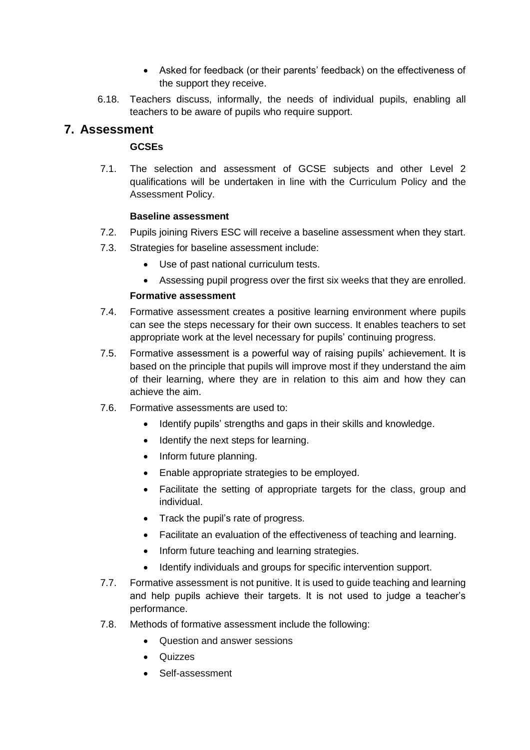- Asked for feedback (or their parents' feedback) on the effectiveness of the support they receive.
- 6.18. Teachers discuss, informally, the needs of individual pupils, enabling all teachers to be aware of pupils who require support.

# <span id="page-9-0"></span>**7. Assessment**

## **GCSEs**

7.1. The selection and assessment of GCSE subjects and other Level 2 qualifications will be undertaken in line with the Curriculum Policy and the Assessment Policy.

## **Baseline assessment**

- 7.2. Pupils joining Rivers ESC will receive a baseline assessment when they start.
- 7.3. Strategies for baseline assessment include:
	- Use of past national curriculum tests.
	- Assessing pupil progress over the first six weeks that they are enrolled.

#### **Formative assessment**

- 7.4. Formative assessment creates a positive learning environment where pupils can see the steps necessary for their own success. It enables teachers to set appropriate work at the level necessary for pupils' continuing progress.
- 7.5. Formative assessment is a powerful way of raising pupils' achievement. It is based on the principle that pupils will improve most if they understand the aim of their learning, where they are in relation to this aim and how they can achieve the aim.
- 7.6. Formative assessments are used to:
	- Identify pupils' strengths and gaps in their skills and knowledge.
	- Identify the next steps for learning.
	- Inform future planning.
	- Enable appropriate strategies to be employed.
	- Facilitate the setting of appropriate targets for the class, group and individual.
	- Track the pupil's rate of progress.
	- Facilitate an evaluation of the effectiveness of teaching and learning.
	- Inform future teaching and learning strategies.
	- Identify individuals and groups for specific intervention support.
- 7.7. Formative assessment is not punitive. It is used to guide teaching and learning and help pupils achieve their targets. It is not used to judge a teacher's performance.
- 7.8. Methods of formative assessment include the following:
	- Question and answer sessions
	- Quizzes
	- Self-assessment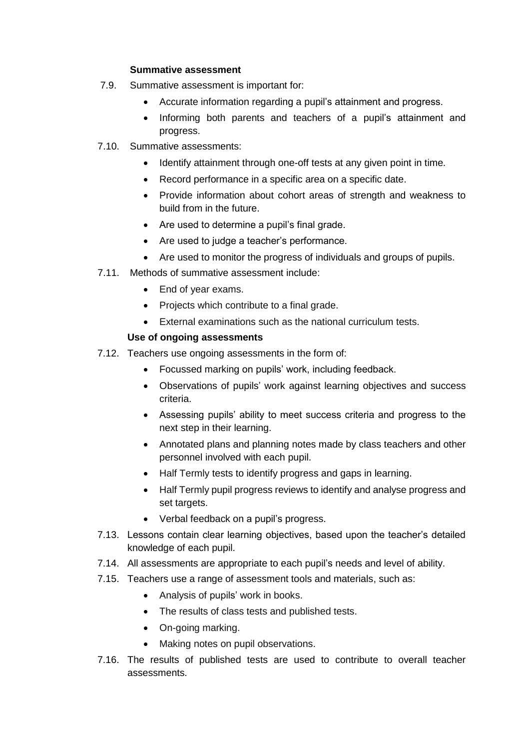#### **Summative assessment**

- 7.9. Summative assessment is important for:
	- Accurate information regarding a pupil's attainment and progress.
	- Informing both parents and teachers of a pupil's attainment and progress.
- 7.10. Summative assessments:
	- Identify attainment through one-off tests at any given point in time.
	- Record performance in a specific area on a specific date.
	- Provide information about cohort areas of strength and weakness to build from in the future.
	- Are used to determine a pupil's final grade.
	- Are used to judge a teacher's performance.
	- Are used to monitor the progress of individuals and groups of pupils.
- 7.11. Methods of summative assessment include:
	- End of year exams.
	- Projects which contribute to a final grade.
	- External examinations such as the national curriculum tests.

## **Use of ongoing assessments**

- 7.12. Teachers use ongoing assessments in the form of:
	- Focussed marking on pupils' work, including feedback.
	- Observations of pupils' work against learning objectives and success criteria.
	- Assessing pupils' ability to meet success criteria and progress to the next step in their learning.
	- Annotated plans and planning notes made by class teachers and other personnel involved with each pupil.
	- Half Termly tests to identify progress and gaps in learning.
	- Half Termly pupil progress reviews to identify and analyse progress and set targets.
	- Verbal feedback on a pupil's progress.
- 7.13. Lessons contain clear learning objectives, based upon the teacher's detailed knowledge of each pupil.
- 7.14. All assessments are appropriate to each pupil's needs and level of ability.
- 7.15. Teachers use a range of assessment tools and materials, such as:
	- Analysis of pupils' work in books.
	- The results of class tests and published tests.
	- On-going marking.
	- Making notes on pupil observations.
- 7.16. The results of published tests are used to contribute to overall teacher assessments.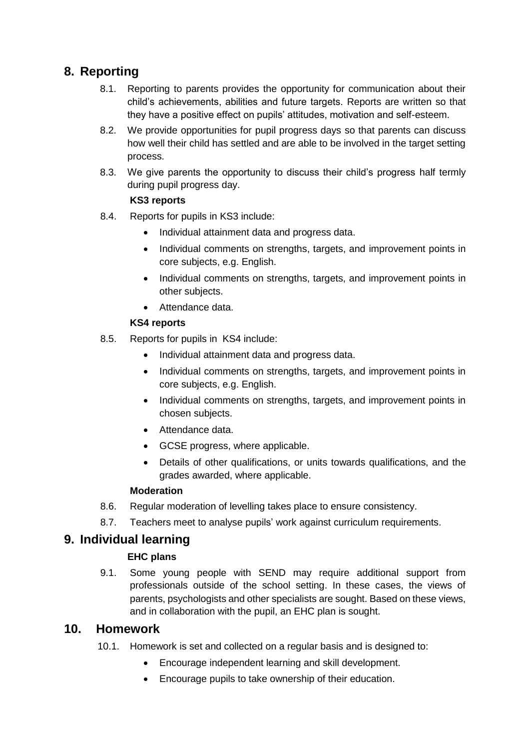# <span id="page-11-0"></span>**8. Reporting**

- 8.1. Reporting to parents provides the opportunity for communication about their child's achievements, abilities and future targets. Reports are written so that they have a positive effect on pupils' attitudes, motivation and self-esteem.
- 8.2. We provide opportunities for pupil progress days so that parents can discuss how well their child has settled and are able to be involved in the target setting process.
- 8.3. We give parents the opportunity to discuss their child's progress half termly during pupil progress day.

## **KS3 reports**

- 8.4. Reports for pupils in KS3 include:
	- Individual attainment data and progress data.
	- Individual comments on strengths, targets, and improvement points in core subjects, e.g. English.
	- Individual comments on strengths, targets, and improvement points in other subjects.
	- Attendance data.

## **KS4 reports**

- 8.5. Reports for pupils in KS4 include:
	- Individual attainment data and progress data.
	- Individual comments on strengths, targets, and improvement points in core subjects, e.g. English.
	- Individual comments on strengths, targets, and improvement points in chosen subjects.
	- Attendance data.
	- GCSE progress, where applicable.
	- Details of other qualifications, or units towards qualifications, and the grades awarded, where applicable.

## **Moderation**

- 8.6. Regular moderation of levelling takes place to ensure consistency.
- 8.7. Teachers meet to analyse pupils' work against curriculum requirements.

# <span id="page-11-1"></span>**9. Individual learning**

## **EHC plans**

9.1. Some young people with SEND may require additional support from professionals outside of the school setting. In these cases, the views of parents, psychologists and other specialists are sought. Based on these views, and in collaboration with the pupil, an EHC plan is sought.

# <span id="page-11-2"></span>**10. Homework**

- 10.1. Homework is set and collected on a regular basis and is designed to:
	- Encourage independent learning and skill development.
	- Encourage pupils to take ownership of their education.